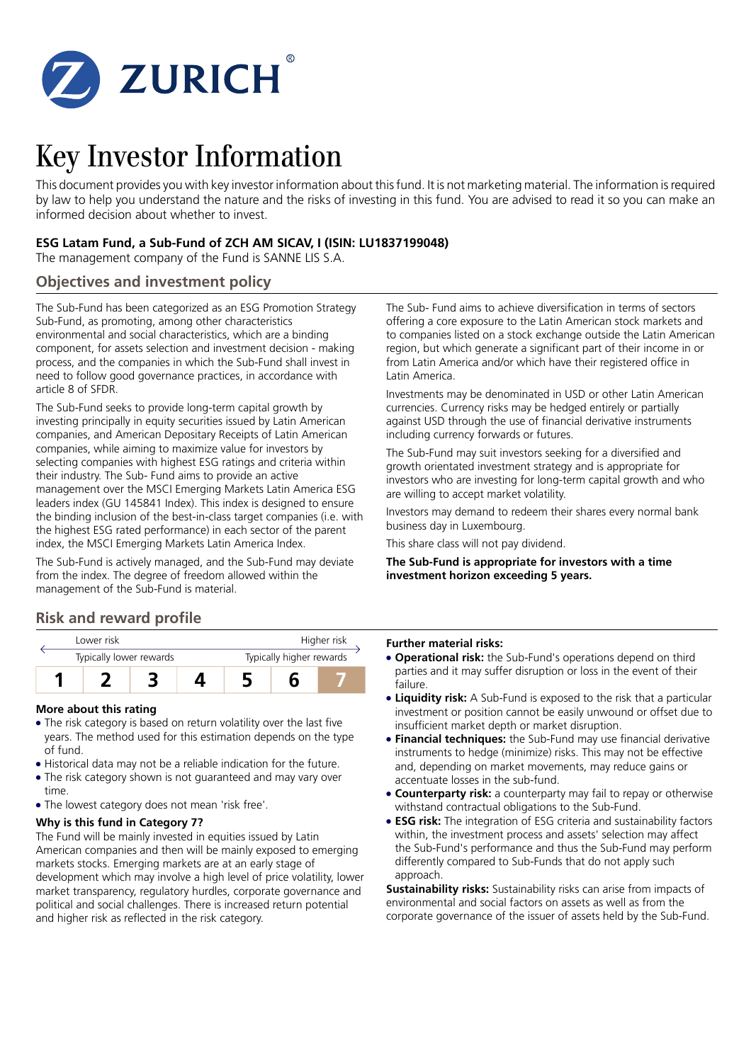

# Key Investor Information

This document provides you with key investor information about this fund. It is not marketing material. The information is required by law to help you understand the nature and the risks of investing in this fund. You are advised to read it so you can make an informed decision about whether to invest.

## **ESG Latam Fund, a Sub-Fund of ZCH AM SICAV, I (ISIN: LU1837199048)**

The management company of the Fund is SANNE LIS S.A.

## **Objectives and investment policy**

The Sub-Fund has been categorized as an ESG Promotion Strategy Sub-Fund, as promoting, among other characteristics environmental and social characteristics, which are a binding component, for assets selection and investment decision - making process, and the companies in which the Sub-Fund shall invest in need to follow good governance practices, in accordance with article 8 of SFDR.

The Sub-Fund seeks to provide long-term capital growth by investing principally in equity securities issued by Latin American companies, and American Depositary Receipts of Latin American companies, while aiming to maximize value for investors by selecting companies with highest ESG ratings and criteria within their industry. The Sub- Fund aims to provide an active management over the MSCI Emerging Markets Latin America ESG leaders index (GU 145841 Index). This index is designed to ensure the binding inclusion of the best-in-class target companies (i.e. with the highest ESG rated performance) in each sector of the parent index, the MSCI Emerging Markets Latin America Index.

The Sub-Fund is actively managed, and the Sub-Fund may deviate from the index. The degree of freedom allowed within the management of the Sub-Fund is material.

## **Risk and reward profile**

| Lower risk              |  |  | Higher risk              |  |  |
|-------------------------|--|--|--------------------------|--|--|
| Typically lower rewards |  |  | Typically higher rewards |  |  |
|                         |  |  |                          |  |  |

### **More about this rating**

- The risk category is based on return volatility over the last five years. The method used for this estimation depends on the type of fund.
- 5 Historical data may not be a reliable indication for the future.
- The risk category shown is not guaranteed and may vary over time.
- The lowest category does not mean 'risk free'.

## **Why is this fund in Category 7?**

The Fund will be mainly invested in equities issued by Latin American companies and then will be mainly exposed to emerging markets stocks. Emerging markets are at an early stage of development which may involve a high level of price volatility, lower market transparency, regulatory hurdles, corporate governance and political and social challenges. There is increased return potential and higher risk as reflected in the risk category.

The Sub- Fund aims to achieve diversification in terms of sectors offering a core exposure to the Latin American stock markets and to companies listed on a stock exchange outside the Latin American region, but which generate a significant part of their income in or from Latin America and/or which have their registered office in Latin America.

Investments may be denominated in USD or other Latin American currencies. Currency risks may be hedged entirely or partially against USD through the use of financial derivative instruments including currency forwards or futures.

The Sub-Fund may suit investors seeking for a diversified and growth orientated investment strategy and is appropriate for investors who are investing for long-term capital growth and who are willing to accept market volatility.

Investors may demand to redeem their shares every normal bank business day in Luxembourg.

This share class will not pay dividend.

**The Sub-Fund is appropriate for investors with a time investment horizon exceeding 5 years.**

#### **Further material risks:**

- **Operational risk:** the Sub-Fund's operations depend on third parties and it may suffer disruption or loss in the event of their failure.
- **Liquidity risk:** A Sub-Fund is exposed to the risk that a particular investment or position cannot be easily unwound or offset due to insufficient market depth or market disruption.
- **Financial techniques:** the Sub-Fund may use financial derivative instruments to hedge (minimize) risks. This may not be effective and, depending on market movements, may reduce gains or accentuate losses in the sub-fund.
- **Counterparty risk:** a counterparty may fail to repay or otherwise withstand contractual obligations to the Sub-Fund.
- **ESG risk:** The integration of ESG criteria and sustainability factors within, the investment process and assets' selection may affect the Sub-Fund's performance and thus the Sub-Fund may perform differently compared to Sub-Funds that do not apply such approach.

**Sustainability risks:** Sustainability risks can arise from impacts of environmental and social factors on assets as well as from the corporate governance of the issuer of assets held by the Sub-Fund.